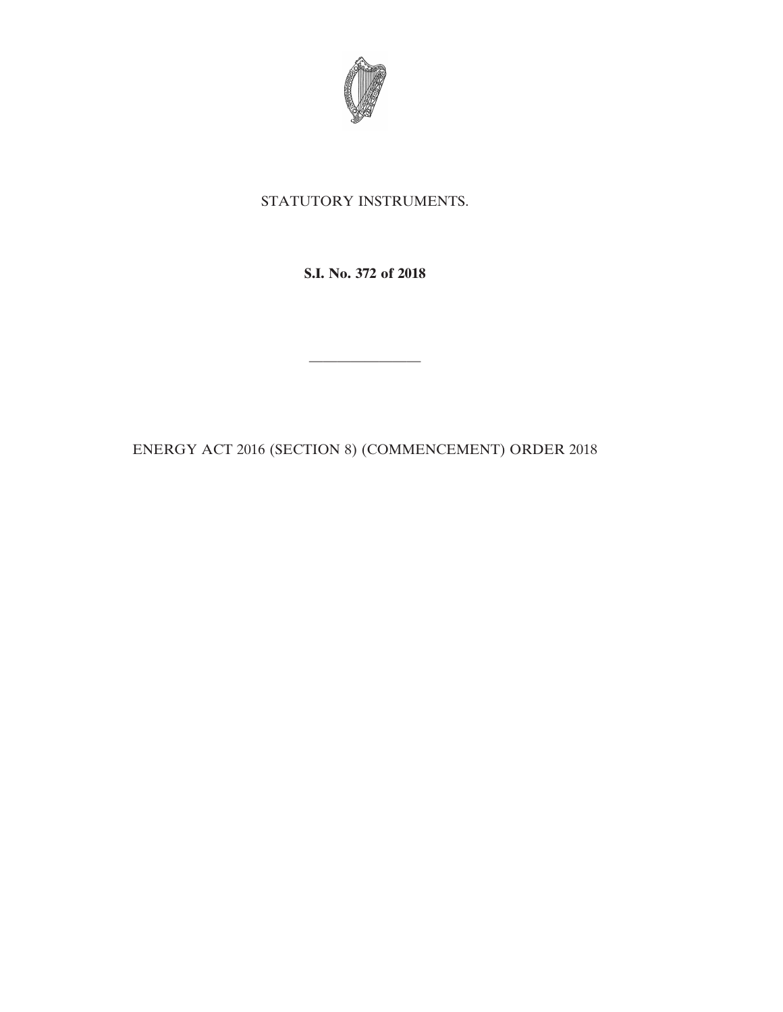

## STATUTORY INSTRUMENTS.

**S.I. No. 372 of 2018**

————————

ENERGY ACT 2016 (SECTION 8) (COMMENCEMENT) ORDER 2018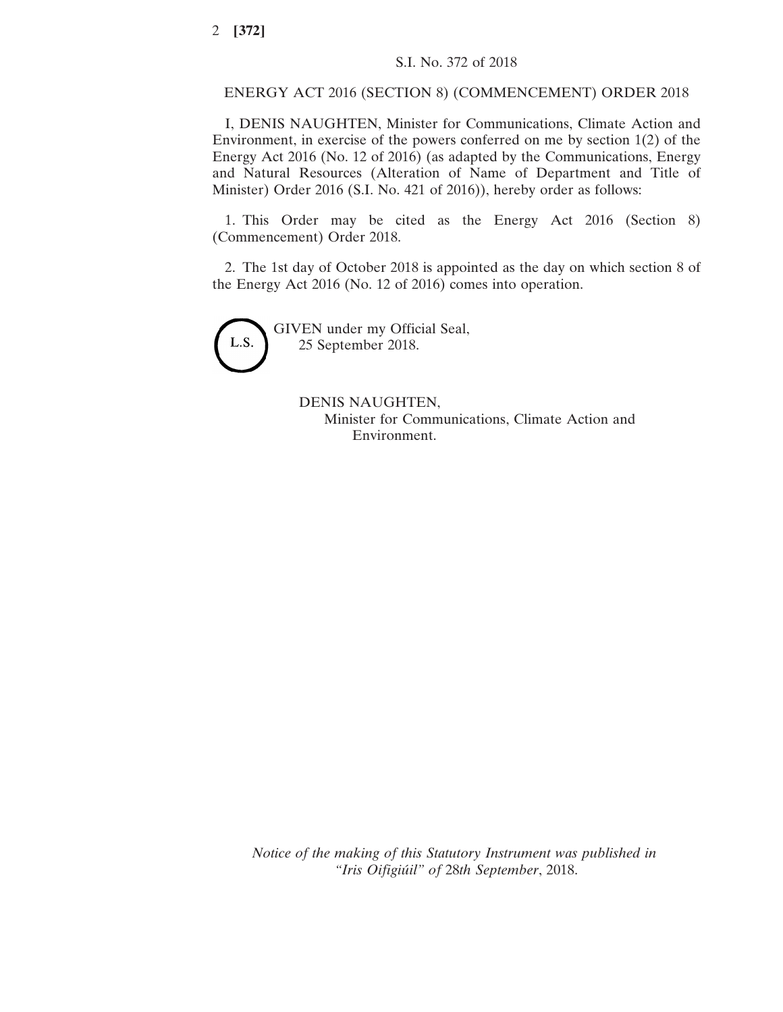## ENERGY ACT 2016 (SECTION 8) (COMMENCEMENT) ORDER 2018

I, DENIS NAUGHTEN, Minister for Communications, Climate Action and Environment, in exercise of the powers conferred on me by section 1(2) of the Energy Act 2016 (No. 12 of 2016) (as adapted by the Communications, Energy and Natural Resources (Alteration of Name of Department and Title of Minister) Order 2016 (S.I. No. 421 of 2016)), hereby order as follows:

1. This Order may be cited as the Energy Act 2016 (Section 8) (Commencement) Order 2018.

2. The 1st day of October 2018 is appointed as the day on which section 8 of the Energy Act 2016 (No. 12 of 2016) comes into operation.



GIVEN under my Official Seal, 25 September 2018.

> DENIS NAUGHTEN, Minister for Communications, Climate Action and Environment.

*Notice of the making of this Statutory Instrument was published in "Iris Oifigiúil" of* 28*th September*, 2018.